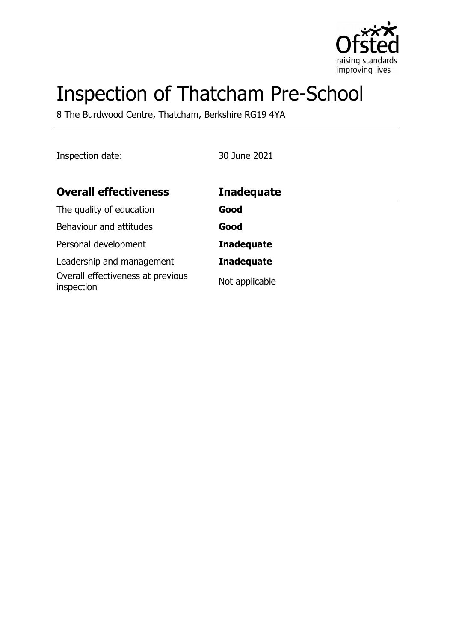

# Inspection of Thatcham Pre-School

8 The Burdwood Centre, Thatcham, Berkshire RG19 4YA

Inspection date: 30 June 2021

| <b>Overall effectiveness</b>                    | <b>Inadequate</b> |
|-------------------------------------------------|-------------------|
| The quality of education                        | Good              |
| Behaviour and attitudes                         | Good              |
| Personal development                            | <b>Inadequate</b> |
| Leadership and management                       | <b>Inadequate</b> |
| Overall effectiveness at previous<br>inspection | Not applicable    |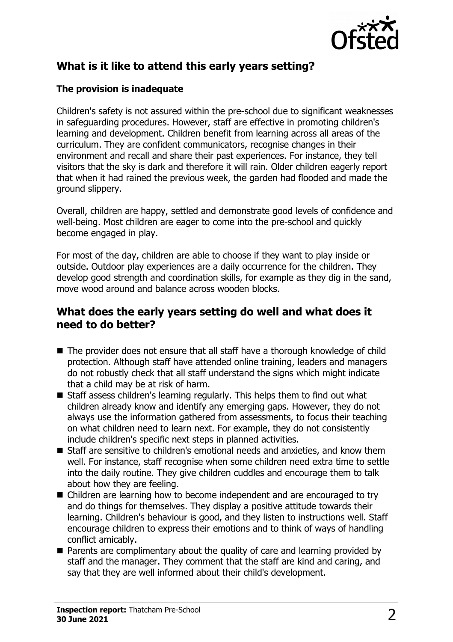

## **What is it like to attend this early years setting?**

#### **The provision is inadequate**

Children's safety is not assured within the pre-school due to significant weaknesses in safeguarding procedures. However, staff are effective in promoting children's learning and development. Children benefit from learning across all areas of the curriculum. They are confident communicators, recognise changes in their environment and recall and share their past experiences. For instance, they tell visitors that the sky is dark and therefore it will rain. Older children eagerly report that when it had rained the previous week, the garden had flooded and made the ground slippery.

Overall, children are happy, settled and demonstrate good levels of confidence and well-being. Most children are eager to come into the pre-school and quickly become engaged in play.

For most of the day, children are able to choose if they want to play inside or outside. Outdoor play experiences are a daily occurrence for the children. They develop good strength and coordination skills, for example as they dig in the sand, move wood around and balance across wooden blocks.

## **What does the early years setting do well and what does it need to do better?**

- The provider does not ensure that all staff have a thorough knowledge of child protection. Although staff have attended online training, leaders and managers do not robustly check that all staff understand the signs which might indicate that a child may be at risk of harm.
- $\blacksquare$  Staff assess children's learning regularly. This helps them to find out what children already know and identify any emerging gaps. However, they do not always use the information gathered from assessments, to focus their teaching on what children need to learn next. For example, they do not consistently include children's specific next steps in planned activities.
- $\blacksquare$  Staff are sensitive to children's emotional needs and anxieties, and know them well. For instance, staff recognise when some children need extra time to settle into the daily routine. They give children cuddles and encourage them to talk about how they are feeling.
- Children are learning how to become independent and are encouraged to try and do things for themselves. They display a positive attitude towards their learning. Children's behaviour is good, and they listen to instructions well. Staff encourage children to express their emotions and to think of ways of handling conflict amicably.
- $\blacksquare$  Parents are complimentary about the quality of care and learning provided by staff and the manager. They comment that the staff are kind and caring, and say that they are well informed about their child's development.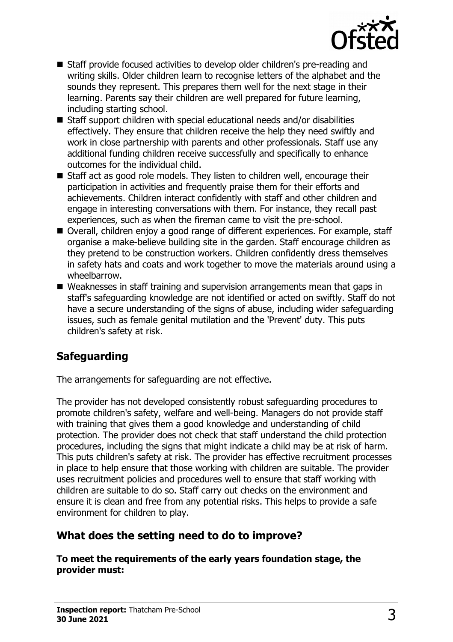

- Staff provide focused activities to develop older children's pre-reading and writing skills. Older children learn to recognise letters of the alphabet and the sounds they represent. This prepares them well for the next stage in their learning. Parents say their children are well prepared for future learning, including starting school.
- $\blacksquare$  Staff support children with special educational needs and/or disabilities effectively. They ensure that children receive the help they need swiftly and work in close partnership with parents and other professionals. Staff use any additional funding children receive successfully and specifically to enhance outcomes for the individual child.
- Staff act as good role models. They listen to children well, encourage their participation in activities and frequently praise them for their efforts and achievements. Children interact confidently with staff and other children and engage in interesting conversations with them. For instance, they recall past experiences, such as when the fireman came to visit the pre-school.
- Overall, children enjoy a good range of different experiences. For example, staff organise a make-believe building site in the garden. Staff encourage children as they pretend to be construction workers. Children confidently dress themselves in safety hats and coats and work together to move the materials around using a wheelbarrow.
- $\blacksquare$  Weaknesses in staff training and supervision arrangements mean that gaps in staff's safeguarding knowledge are not identified or acted on swiftly. Staff do not have a secure understanding of the signs of abuse, including wider safeguarding issues, such as female genital mutilation and the 'Prevent' duty. This puts children's safety at risk.

# **Safeguarding**

The arrangements for safeguarding are not effective.

The provider has not developed consistently robust safeguarding procedures to promote children's safety, welfare and well-being. Managers do not provide staff with training that gives them a good knowledge and understanding of child protection. The provider does not check that staff understand the child protection procedures, including the signs that might indicate a child may be at risk of harm. This puts children's safety at risk. The provider has effective recruitment processes in place to help ensure that those working with children are suitable. The provider uses recruitment policies and procedures well to ensure that staff working with children are suitable to do so. Staff carry out checks on the environment and ensure it is clean and free from any potential risks. This helps to provide a safe environment for children to play.

## **What does the setting need to do to improve?**

**To meet the requirements of the early years foundation stage, the provider must:**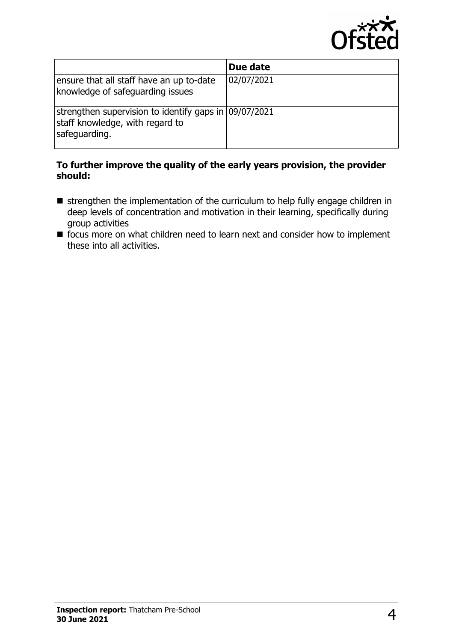

|                                                                                                           | Due date   |  |
|-----------------------------------------------------------------------------------------------------------|------------|--|
| ensure that all staff have an up to-date<br>knowledge of safeguarding issues                              | 02/07/2021 |  |
| strengthen supervision to identify gaps in 09/07/2021<br>staff knowledge, with regard to<br>safeguarding. |            |  |

#### **To further improve the quality of the early years provision, the provider should:**

- strengthen the implementation of the curriculum to help fully engage children in deep levels of concentration and motivation in their learning, specifically during group activities
- focus more on what children need to learn next and consider how to implement these into all activities.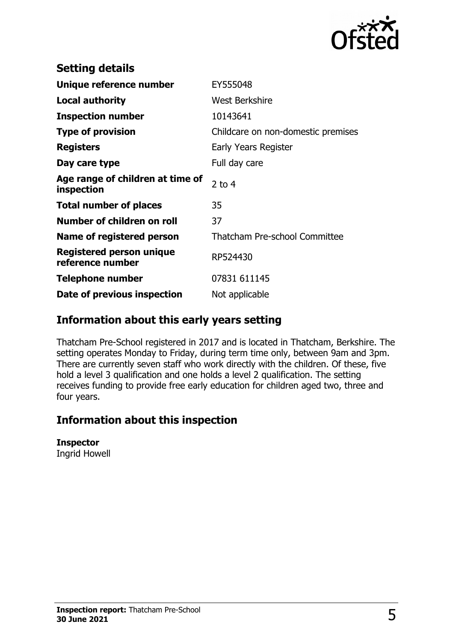

| <b>Setting details</b>                              |                                      |
|-----------------------------------------------------|--------------------------------------|
| Unique reference number                             | EY555048                             |
| Local authority                                     | <b>West Berkshire</b>                |
| <b>Inspection number</b>                            | 10143641                             |
| <b>Type of provision</b>                            | Childcare on non-domestic premises   |
| <b>Registers</b>                                    | Early Years Register                 |
| Day care type                                       | Full day care                        |
| Age range of children at time of<br>inspection      | 2 to $4$                             |
| <b>Total number of places</b>                       | 35                                   |
| Number of children on roll                          | 37                                   |
| Name of registered person                           | <b>Thatcham Pre-school Committee</b> |
| <b>Registered person unique</b><br>reference number | RP524430                             |
| <b>Telephone number</b>                             | 07831 611145                         |
| Date of previous inspection                         | Not applicable                       |

## **Information about this early years setting**

Thatcham Pre-School registered in 2017 and is located in Thatcham, Berkshire. The setting operates Monday to Friday, during term time only, between 9am and 3pm. There are currently seven staff who work directly with the children. Of these, five hold a level 3 qualification and one holds a level 2 qualification. The setting receives funding to provide free early education for children aged two, three and four years.

## **Information about this inspection**

#### **Inspector**

Ingrid Howell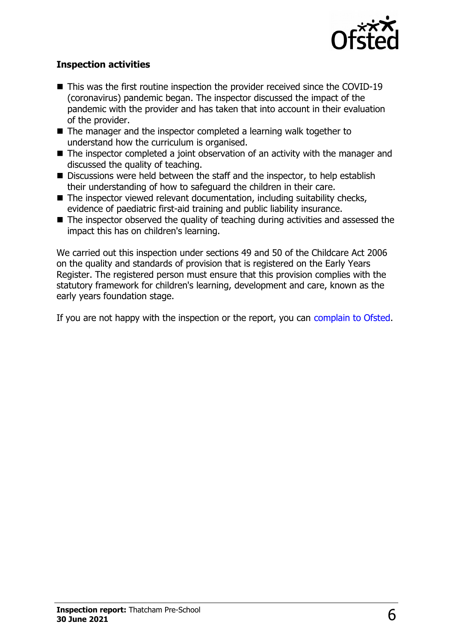

#### **Inspection activities**

- $\blacksquare$  This was the first routine inspection the provider received since the COVID-19 (coronavirus) pandemic began. The inspector discussed the impact of the pandemic with the provider and has taken that into account in their evaluation of the provider.
- $\blacksquare$  The manager and the inspector completed a learning walk together to understand how the curriculum is organised.
- $\blacksquare$  The inspector completed a joint observation of an activity with the manager and discussed the quality of teaching.
- $\blacksquare$  Discussions were held between the staff and the inspector, to help establish their understanding of how to safeguard the children in their care.
- $\blacksquare$  The inspector viewed relevant documentation, including suitability checks, evidence of paediatric first-aid training and public liability insurance.
- $\blacksquare$  The inspector observed the quality of teaching during activities and assessed the impact this has on children's learning.

We carried out this inspection under sections 49 and 50 of the Childcare Act 2006 on the quality and standards of provision that is registered on the Early Years Register. The registered person must ensure that this provision complies with the statutory framework for children's learning, development and care, known as the early years foundation stage.

If you are not happy with the inspection or the report, you can [complain to Ofsted.](http://www.gov.uk/complain-ofsted-report)